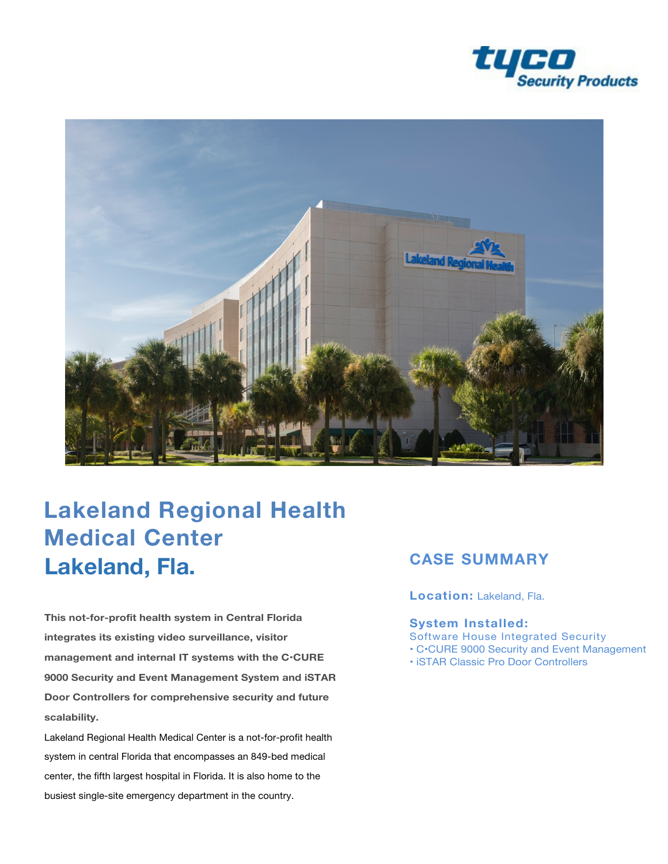



# **Lakeland Regional Health Medical Center Lakeland, Fla.**

**This not-for-profit health system in Central Florida integrates its existing video surveillance, visitor management and internal IT systems with the C•CURE 9000 Security and Event Management System and iSTAR Door Controllers for comprehensive security and future scalability.** 

Lakeland Regional Health Medical Center is a not-for-profit health system in central Florida that encompasses an 849-bed medical center, the fifth largest hospital in Florida. It is also home to the busiest single-site emergency department in the country.

## **CASE SUMMARY**

**Location:** Lakeland, Fla.

#### **System Installed:**

Software House Integrated Security

- C•CURE 9000 Security and Event Management
- iSTAR Classic Pro Door Controllers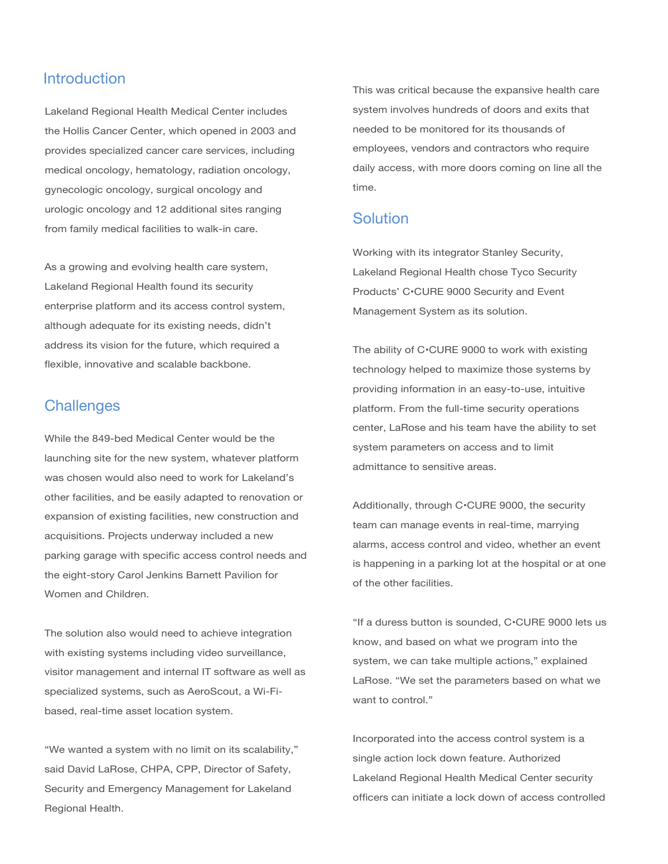#### **Introduction**

Lakeland Regional Health Medical Center includes the Hollis Cancer Center, which opened in 2003 and provides specialized cancer care services, including medical oncology, hematology, radiation oncology, gynecologic oncology, surgical oncology and urologic oncology and 12 additional sites ranging from family medical facilities to walk-in care.

As a growing and evolving health care system, Lakeland Regional Health found its security enterprise platform and its access control system, although adequate for its existing needs, didn't address its vision for the future, which required a flexible, innovative and scalable backbone.

#### **Challenges**

While the 849-bed Medical Center would be the launching site for the new system, whatever platform was chosen would also need to work for Lakeland's other facilities, and be easily adapted to renovation or expansion of existing facilities, new construction and acquisitions. Projects underway included a new parking garage with specific access control needs and the eight-story Carol Jenkins Barnett Pavilion for Women and Children.

The solution also would need to achieve integration with existing systems including video surveillance, visitor management and internal IT software as well as specialized systems, such as AeroScout, a Wi-Fibased, real-time asset location system.

"We wanted a system with no limit on its scalability," said David LaRose, CHPA, CPP, Director of Safety, Security and Emergency Management for Lakeland Regional Health.

This was critical because the expansive health care system involves hundreds of doors and exits that needed to be monitored for its thousands of employees, vendors and contractors who require daily access, with more doors coming on line all the time.

#### Solution

Working with its integrator Stanley Security, Lakeland Regional Health chose Tyco Security Products' C•CURE 9000 Security and Event Management System as its solution.

The ability of C•CURE 9000 to work with existing technology helped to maximize those systems by providing information in an easy-to-use, intuitive platform. From the full-time security operations center, LaRose and his team have the ability to set system parameters on access and to limit admittance to sensitive areas.

Additionally, through C•CURE 9000, the security team can manage events in real-time, marrying alarms, access control and video, whether an event is happening in a parking lot at the hospital or at one of the other facilities.

"If a duress button is sounded, C•CURE 9000 lets us know, and based on what we program into the system, we can take multiple actions," explained LaRose. "We set the parameters based on what we want to control."

Incorporated into the access control system is a single action lock down feature. Authorized Lakeland Regional Health Medical Center security officers can initiate a lock down of access controlled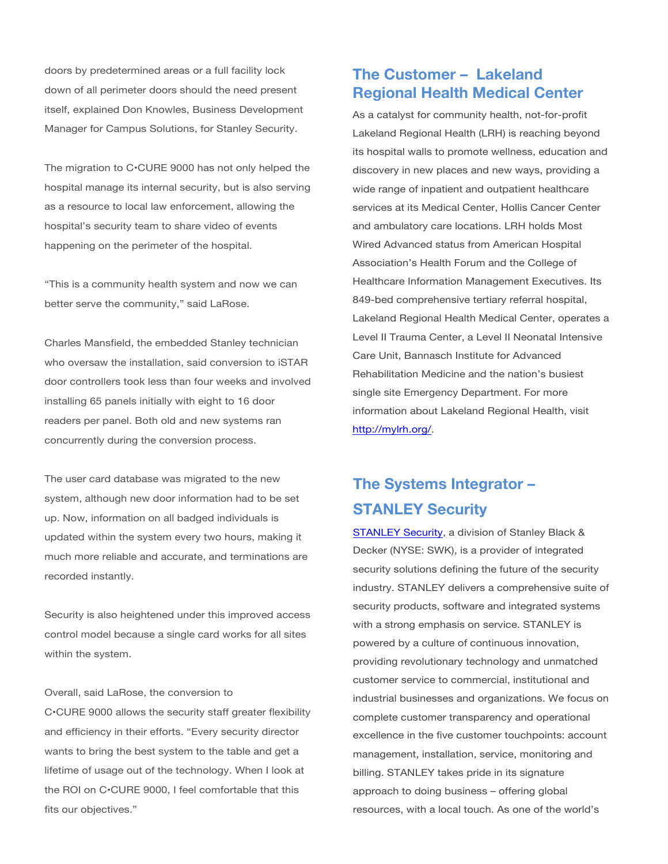doors by predetermined areas or a full facility lock down of all perimeter doors should the need present itself, explained Don Knowles, Business Development Manager for Campus Solutions, for Stanley Security.

The migration to C•CURE 9000 has not only helped the hospital manage its internal security, but is also serving as a resource to local law enforcement, allowing the hospital's security team to share video of events happening on the perimeter of the hospital.

"This is a community health system and now we can better serve the community," said LaRose.

Charles Mansfield, the embedded Stanley technician who oversaw the installation, said conversion to iSTAR door controllers took less than four weeks and involved installing 65 panels initially with eight to 16 door readers per panel. Both old and new systems ran concurrently during the conversion process.

The user card database was migrated to the new system, although new door information had to be set up. Now, information on all badged individuals is updated within the system every two hours, making it much more reliable and accurate, and terminations are recorded instantly.

Security is also heightened under this improved access control model because a single card works for all sites within the system.

#### Overall, said LaRose, the conversion to

C•CURE 9000 allows the security staff greater flexibility and efficiency in their efforts. "Every security director wants to bring the best system to the table and get a lifetime of usage out of the technology. When I look at the ROI on C•CURE 9000, I feel comfortable that this fits our objectives."

### **The Customer – Lakeland Regional Health Medical Center**

As a catalyst for community health, not-for-profit Lakeland Regional Health (LRH) is reaching beyond its hospital walls to promote wellness, education and discovery in new places and new ways, providing a wide range of inpatient and outpatient healthcare services at its Medical Center, Hollis Cancer Center and ambulatory care locations. LRH holds Most Wired Advanced status from American Hospital Association's Health Forum and the College of Healthcare Information Management Executives. Its 849-bed comprehensive tertiary referral hospital, Lakeland Regional Health Medical Center, operates a Level II Trauma Center, a Level II Neonatal Intensive Care Unit, Bannasch Institute for Advanced Rehabilitation Medicine and the nation's busiest single site Emergency Department. For more information about Lakeland Regional Health, visit <http://mylrh.org/>.

# **The Systems Integrator – STANLEY Security**

[STANLEY Security](http://www.stanleysecuritysolutions.com/), a division of Stanley Black & Decker (NYSE: SWK), is a provider of integrated security solutions defining the future of the security industry. STANLEY delivers a comprehensive suite of security products, software and integrated systems with a strong emphasis on service. STANLEY is powered by a culture of continuous innovation, providing revolutionary technology and unmatched customer service to commercial, institutional and industrial businesses and organizations. We focus on complete customer transparency and operational excellence in the five customer touchpoints: account management, installation, service, monitoring and billing. STANLEY takes pride in its signature approach to doing business – offering global resources, with a local touch. As one of the world's